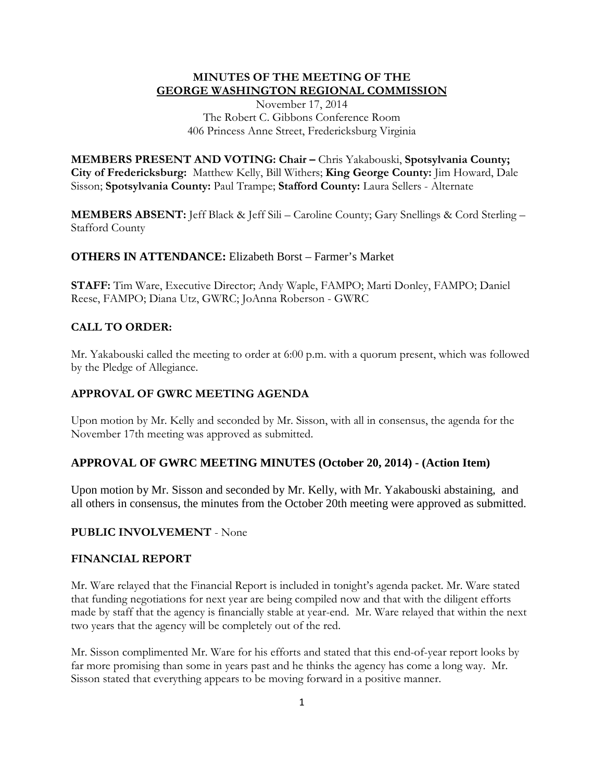## **MINUTES OF THE MEETING OF THE GEORGE WASHINGTON REGIONAL COMMISSION**

November 17, 2014 The Robert C. Gibbons Conference Room 406 Princess Anne Street, Fredericksburg Virginia

**MEMBERS PRESENT AND VOTING: Chair –** Chris Yakabouski, **Spotsylvania County; City of Fredericksburg:** Matthew Kelly, Bill Withers; **King George County:** Jim Howard, Dale Sisson; **Spotsylvania County:** Paul Trampe; **Stafford County:** Laura Sellers - Alternate

**MEMBERS ABSENT:** Jeff Black & Jeff Sili – Caroline County; Gary Snellings & Cord Sterling – Stafford County

## **OTHERS IN ATTENDANCE:** Elizabeth Borst – Farmer's Market

**STAFF:** Tim Ware, Executive Director; Andy Waple, FAMPO; Marti Donley, FAMPO; Daniel Reese, FAMPO; Diana Utz, GWRC; JoAnna Roberson - GWRC

# **CALL TO ORDER:**

Mr. Yakabouski called the meeting to order at 6:00 p.m. with a quorum present, which was followed by the Pledge of Allegiance.

### **APPROVAL OF GWRC MEETING AGENDA**

Upon motion by Mr. Kelly and seconded by Mr. Sisson, with all in consensus, the agenda for the November 17th meeting was approved as submitted.

## **APPROVAL OF GWRC MEETING MINUTES (October 20, 2014) - (Action Item)**

Upon motion by Mr. Sisson and seconded by Mr. Kelly, with Mr. Yakabouski abstaining, and all others in consensus, the minutes from the October 20th meeting were approved as submitted.

### **PUBLIC INVOLVEMENT** - None

# **FINANCIAL REPORT**

Mr. Ware relayed that the Financial Report is included in tonight's agenda packet. Mr. Ware stated that funding negotiations for next year are being compiled now and that with the diligent efforts made by staff that the agency is financially stable at year-end. Mr. Ware relayed that within the next two years that the agency will be completely out of the red.

Mr. Sisson complimented Mr. Ware for his efforts and stated that this end-of-year report looks by far more promising than some in years past and he thinks the agency has come a long way. Mr. Sisson stated that everything appears to be moving forward in a positive manner.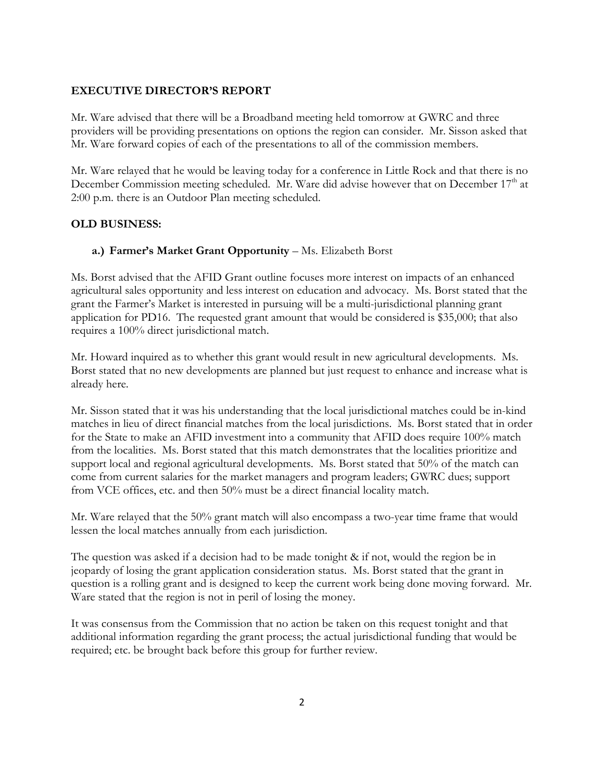### **EXECUTIVE DIRECTOR'S REPORT**

Mr. Ware advised that there will be a Broadband meeting held tomorrow at GWRC and three providers will be providing presentations on options the region can consider. Mr. Sisson asked that Mr. Ware forward copies of each of the presentations to all of the commission members.

Mr. Ware relayed that he would be leaving today for a conference in Little Rock and that there is no December Commission meeting scheduled. Mr. Ware did advise however that on December 17<sup>th</sup> at 2:00 p.m. there is an Outdoor Plan meeting scheduled.

## **OLD BUSINESS:**

### a.) Farmer's Market Grant Opportunity - Ms. Elizabeth Borst

Ms. Borst advised that the AFID Grant outline focuses more interest on impacts of an enhanced agricultural sales opportunity and less interest on education and advocacy. Ms. Borst stated that the grant the Farmer's Market is interested in pursuing will be a multi-jurisdictional planning grant application for PD16. The requested grant amount that would be considered is \$35,000; that also requires a 100% direct jurisdictional match.

Mr. Howard inquired as to whether this grant would result in new agricultural developments. Ms. Borst stated that no new developments are planned but just request to enhance and increase what is already here.

Mr. Sisson stated that it was his understanding that the local jurisdictional matches could be in-kind matches in lieu of direct financial matches from the local jurisdictions. Ms. Borst stated that in order for the State to make an AFID investment into a community that AFID does require 100% match from the localities. Ms. Borst stated that this match demonstrates that the localities prioritize and support local and regional agricultural developments. Ms. Borst stated that 50% of the match can come from current salaries for the market managers and program leaders; GWRC dues; support from VCE offices, etc. and then 50% must be a direct financial locality match.

Mr. Ware relayed that the 50% grant match will also encompass a two-year time frame that would lessen the local matches annually from each jurisdiction.

The question was asked if a decision had to be made tonight & if not, would the region be in jeopardy of losing the grant application consideration status. Ms. Borst stated that the grant in question is a rolling grant and is designed to keep the current work being done moving forward. Mr. Ware stated that the region is not in peril of losing the money.

It was consensus from the Commission that no action be taken on this request tonight and that additional information regarding the grant process; the actual jurisdictional funding that would be required; etc. be brought back before this group for further review.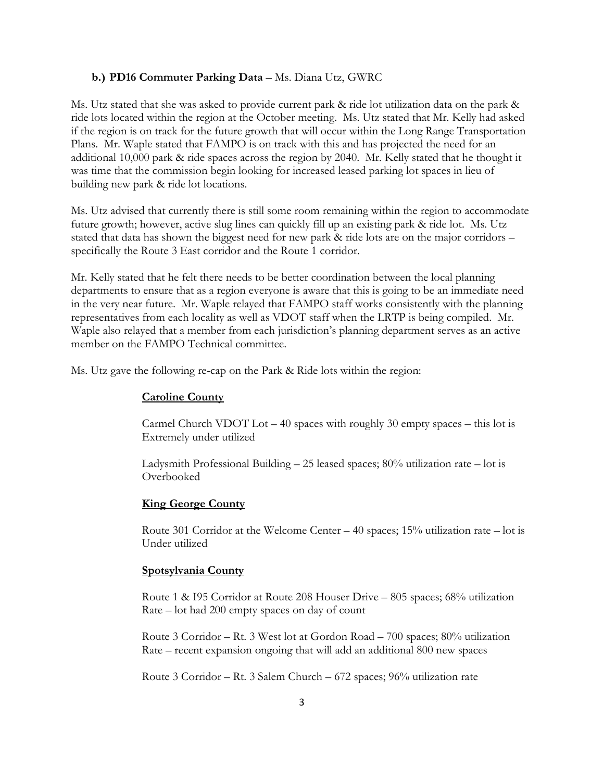#### **b.) PD16 Commuter Parking Data** – Ms. Diana Utz, GWRC

Ms. Utz stated that she was asked to provide current park & ride lot utilization data on the park & ride lots located within the region at the October meeting. Ms. Utz stated that Mr. Kelly had asked if the region is on track for the future growth that will occur within the Long Range Transportation Plans. Mr. Waple stated that FAMPO is on track with this and has projected the need for an additional 10,000 park & ride spaces across the region by 2040. Mr. Kelly stated that he thought it was time that the commission begin looking for increased leased parking lot spaces in lieu of building new park & ride lot locations.

Ms. Utz advised that currently there is still some room remaining within the region to accommodate future growth; however, active slug lines can quickly fill up an existing park & ride lot. Ms. Utz stated that data has shown the biggest need for new park & ride lots are on the major corridors – specifically the Route 3 East corridor and the Route 1 corridor.

Mr. Kelly stated that he felt there needs to be better coordination between the local planning departments to ensure that as a region everyone is aware that this is going to be an immediate need in the very near future. Mr. Waple relayed that FAMPO staff works consistently with the planning representatives from each locality as well as VDOT staff when the LRTP is being compiled. Mr. Waple also relayed that a member from each jurisdiction's planning department serves as an active member on the FAMPO Technical committee.

Ms. Utz gave the following re-cap on the Park & Ride lots within the region:

#### **Caroline County**

Carmel Church VDOT Lot  $-40$  spaces with roughly 30 empty spaces  $-$  this lot is Extremely under utilized

Ladysmith Professional Building – 25 leased spaces; 80% utilization rate – lot is Overbooked

## **King George County**

Route 301 Corridor at the Welcome Center  $-40$  spaces; 15% utilization rate  $-$  lot is Under utilized

#### **Spotsylvania County**

Route 1 & I95 Corridor at Route 208 Houser Drive – 805 spaces; 68% utilization Rate – lot had 200 empty spaces on day of count

Route 3 Corridor – Rt. 3 West lot at Gordon Road – 700 spaces; 80% utilization Rate – recent expansion ongoing that will add an additional 800 new spaces

Route 3 Corridor – Rt. 3 Salem Church – 672 spaces; 96% utilization rate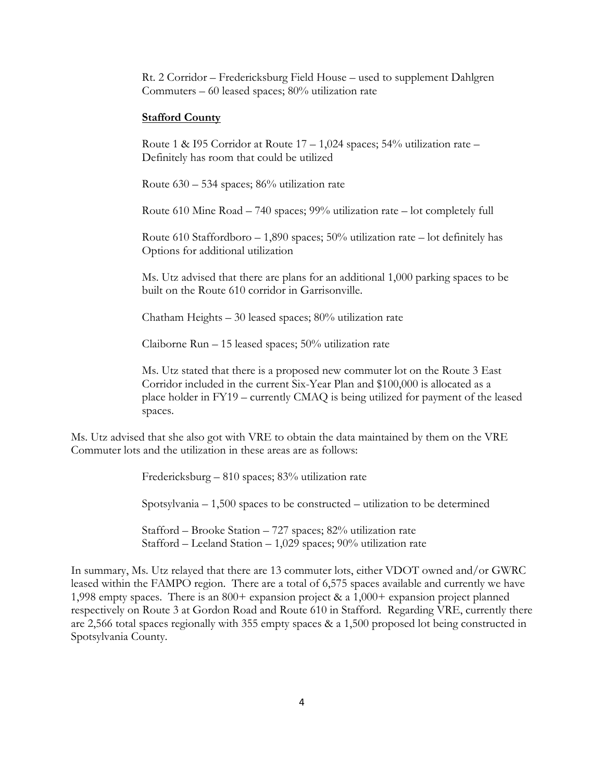Rt. 2 Corridor – Fredericksburg Field House – used to supplement Dahlgren Commuters – 60 leased spaces; 80% utilization rate

#### **Stafford County**

Route 1 & I95 Corridor at Route  $17 - 1,024$  spaces; 54% utilization rate – Definitely has room that could be utilized

Route 630 – 534 spaces; 86% utilization rate

Route 610 Mine Road – 740 spaces; 99% utilization rate – lot completely full

Route 610 Staffordboro  $-1,890$  spaces; 50% utilization rate  $-$  lot definitely has Options for additional utilization

Ms. Utz advised that there are plans for an additional 1,000 parking spaces to be built on the Route 610 corridor in Garrisonville.

Chatham Heights – 30 leased spaces; 80% utilization rate

Claiborne Run – 15 leased spaces; 50% utilization rate

Ms. Utz stated that there is a proposed new commuter lot on the Route 3 East Corridor included in the current Six-Year Plan and \$100,000 is allocated as a place holder in FY19 – currently CMAQ is being utilized for payment of the leased spaces.

Ms. Utz advised that she also got with VRE to obtain the data maintained by them on the VRE Commuter lots and the utilization in these areas are as follows:

Fredericksburg – 810 spaces; 83% utilization rate

Spotsylvania – 1,500 spaces to be constructed – utilization to be determined

Stafford – Brooke Station – 727 spaces; 82% utilization rate Stafford – Leeland Station – 1,029 spaces; 90% utilization rate

In summary, Ms. Utz relayed that there are 13 commuter lots, either VDOT owned and/or GWRC leased within the FAMPO region. There are a total of 6,575 spaces available and currently we have 1,998 empty spaces. There is an 800+ expansion project & a 1,000+ expansion project planned respectively on Route 3 at Gordon Road and Route 610 in Stafford. Regarding VRE, currently there are 2,566 total spaces regionally with 355 empty spaces & a 1,500 proposed lot being constructed in Spotsylvania County.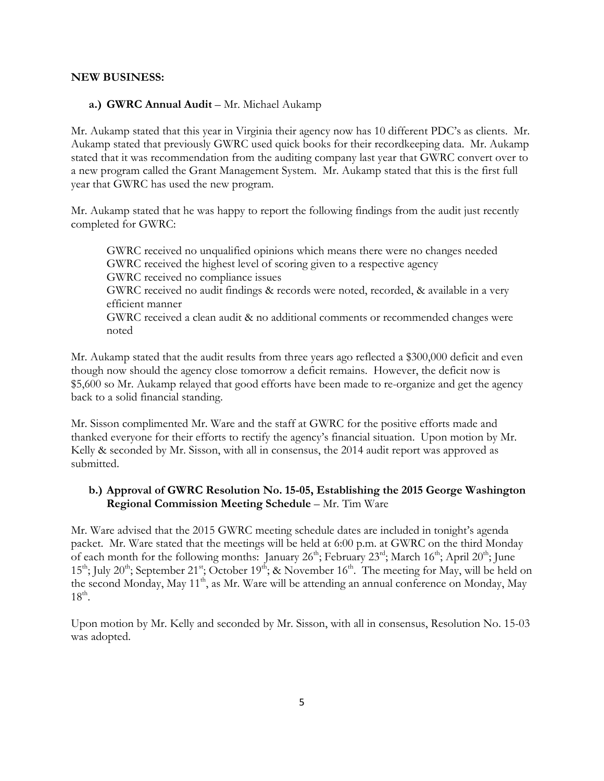### **NEW BUSINESS:**

### **a.) GWRC Annual Audit** – Mr. Michael Aukamp

Mr. Aukamp stated that this year in Virginia their agency now has 10 different PDC's as clients. Mr. Aukamp stated that previously GWRC used quick books for their recordkeeping data. Mr. Aukamp stated that it was recommendation from the auditing company last year that GWRC convert over to a new program called the Grant Management System. Mr. Aukamp stated that this is the first full year that GWRC has used the new program.

Mr. Aukamp stated that he was happy to report the following findings from the audit just recently completed for GWRC:

GWRC received no unqualified opinions which means there were no changes needed GWRC received the highest level of scoring given to a respective agency GWRC received no compliance issues GWRC received no audit findings & records were noted, recorded, & available in a very efficient manner GWRC received a clean audit & no additional comments or recommended changes were noted

Mr. Aukamp stated that the audit results from three years ago reflected a \$300,000 deficit and even though now should the agency close tomorrow a deficit remains. However, the deficit now is \$5,600 so Mr. Aukamp relayed that good efforts have been made to re-organize and get the agency back to a solid financial standing.

Mr. Sisson complimented Mr. Ware and the staff at GWRC for the positive efforts made and thanked everyone for their efforts to rectify the agency's financial situation. Upon motion by Mr. Kelly & seconded by Mr. Sisson, with all in consensus, the 2014 audit report was approved as submitted.

# **b.) Approval of GWRC Resolution No. 15-05, Establishing the 2015 George Washington Regional Commission Meeting Schedule** – Mr. Tim Ware

Mr. Ware advised that the 2015 GWRC meeting schedule dates are included in tonight's agenda packet. Mr. Ware stated that the meetings will be held at 6:00 p.m. at GWRC on the third Monday of each month for the following months: January 26<sup>th</sup>; February 23<sup>rd</sup>; March 16<sup>th</sup>; April 20<sup>th</sup>; June  $15<sup>th</sup>$ ; July 20<sup>th</sup>; September 21<sup>st</sup>; October 19<sup>th</sup>; & November 16<sup>th</sup>. The meeting for May, will be held on the second Monday, May 11<sup>th</sup>, as Mr. Ware will be attending an annual conference on Monday, May  $18^{\text{th}}$ .

Upon motion by Mr. Kelly and seconded by Mr. Sisson, with all in consensus, Resolution No. 15-03 was adopted.